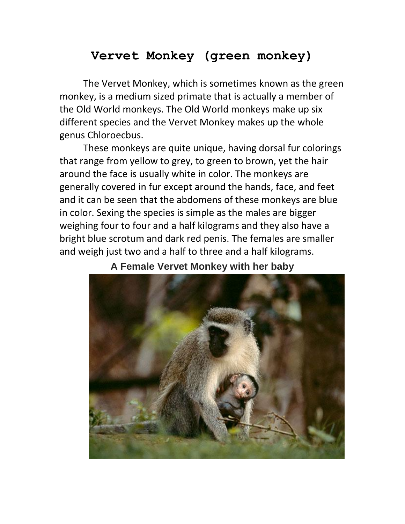# **Vervet Monkey (green monkey)**

The Vervet Monkey, which is sometimes known as the green monkey, is a medium sized primate that is actually a member of the Old World monkeys. The Old World monkeys make up six different species and the Vervet Monkey makes up the whole genus Chloroecbus.

These monkeys are quite unique, having dorsal fur colorings that range from yellow to grey, to green to brown, yet the hair around the face is usually white in color. The monkeys are generally covered in fur except around the hands, face, and feet and it can be seen that the abdomens of these monkeys are blue in color. Sexing the species is simple as the males are bigger weighing four to four and a half kilograms and they also have a bright blue scrotum and dark red penis. The females are smaller and weigh just two and a half to three and a half kilograms.



# **A Female Vervet Monkey with her baby**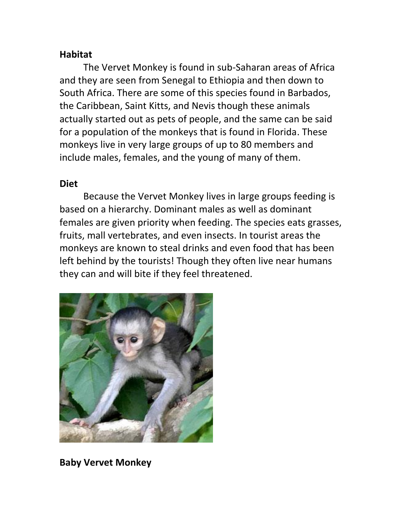## **Habitat**

The Vervet Monkey is found in sub-Saharan areas of Africa and they are seen from Senegal to Ethiopia and then down to South Africa. There are some of this species found in Barbados, the Caribbean, Saint Kitts, and Nevis though these animals actually started out as pets of people, and the same can be said for a population of the monkeys that is found in Florida. These monkeys live in very large groups of up to 80 members and include males, females, and the young of many of them.

#### **Diet**

Because the Vervet Monkey lives in large groups feeding is based on a hierarchy. Dominant males as well as dominant females are given priority when feeding. The species eats grasses, fruits, mall vertebrates, and even insects. In tourist areas the monkeys are known to steal drinks and even food that has been left behind by the tourists! Though they often live near humans they can and will bite if they feel threatened.



**Baby Vervet Monkey**